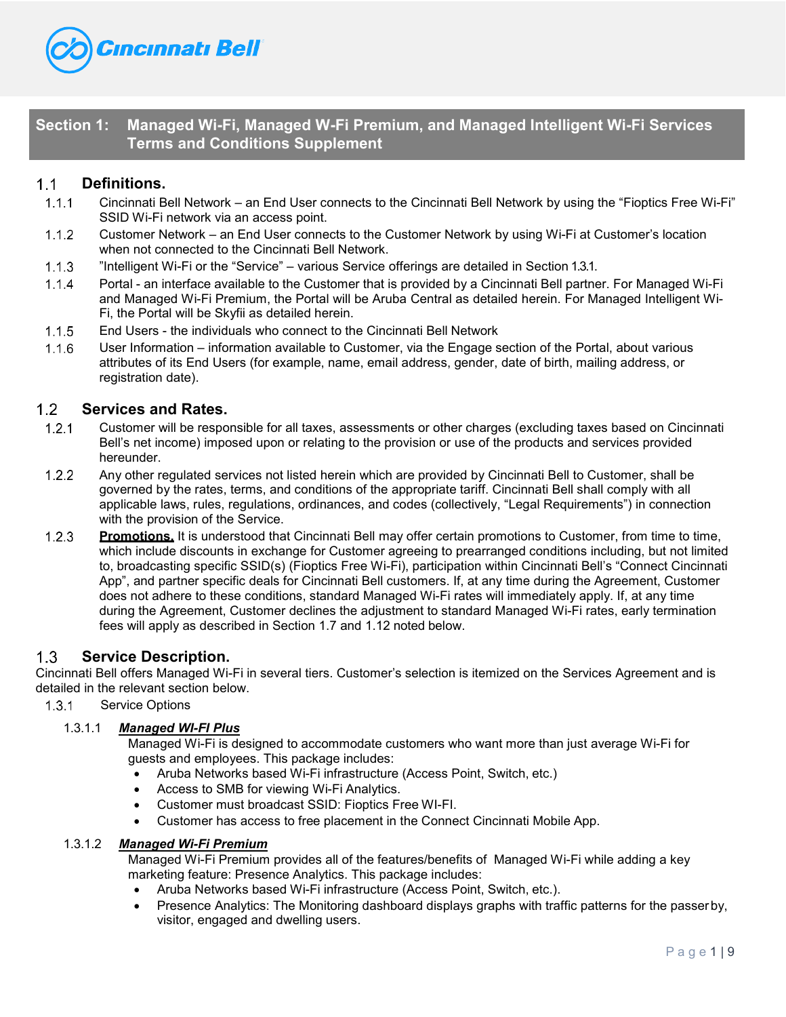

# **Section 1: Managed Wi-Fi, Managed W-Fi Premium, and Managed Intelligent Wi-Fi Services Terms and Conditions Supplement**

#### $1.1$ **Definitions.**

- $1.1.1$ Cincinnati Bell Network – an End User connects to the Cincinnati Bell Network by using the "Fioptics Free Wi-Fi" SSID Wi-Fi network via an access point.
- $1.1.2$ Customer Network – an End User connects to the Customer Network by using Wi-Fi at Customer's location when not connected to the Cincinnati Bell Network.
- "Intelligent Wi-Fi or the "Service" various Service offerings are detailed in Section 1.3.1.
- $1.1.4$ Portal - an interface available to the Customer that is provided by a Cincinnati Bell partner. For Managed Wi-Fi and Managed Wi-Fi Premium, the Portal will be Aruba Central as detailed herein. For Managed Intelligent Wi-Fi, the Portal will be Skyfii as detailed herein.
- End Users the individuals who connect to the Cincinnati Bell Network
- User Information information available to Customer, via the Engage section of the Portal, about various attributes of its End Users (for example, name, email address, gender, date of birth, mailing address, or registration date).

#### $1.2$ **Services and Rates.**

- $1.2.1$ Customer will be responsible for all taxes, assessments or other charges (excluding taxes based on Cincinnati Bell's net income) imposed upon or relating to the provision or use of the products and services provided hereunder.
- $1.2.2$ Any other regulated services not listed herein which are provided by Cincinnati Bell to Customer, shall be governed by the rates, terms, and conditions of the appropriate tariff. Cincinnati Bell shall comply with all applicable laws, rules, regulations, ordinances, and codes (collectively, "Legal Requirements") in connection with the provision of the Service.
- **Promotions.** It is understood that Cincinnati Bell may offer certain promotions to Customer, from time to time, which include discounts in exchange for Customer agreeing to prearranged conditions including, but not limited to, broadcasting specific SSID(s) (Fioptics Free Wi-Fi), participation within Cincinnati Bell's "Connect Cincinnati App", and partner specific deals for Cincinnati Bell customers. If, at any time during the Agreement, Customer does not adhere to these conditions, standard Managed Wi-Fi rates will immediately apply. If, at any time during the Agreement, Customer declines the adjustment to standard Managed Wi-Fi rates, early termination fees will apply as described in Section 1.7 and 1.12 noted below.

#### $1.3$ **Service Description.**

Cincinnati Bell offers Managed Wi-Fi in several tiers. Customer's selection is itemized on the Services Agreement and is detailed in the relevant section below.

1.3.1 Service Options

## 1.3.1.1 *Managed WI-FI Plus*

Managed Wi-Fi is designed to accommodate customers who want more than just average Wi-Fi for guests and employees. This package includes:

- Aruba Networks based Wi-Fi infrastructure (Access Point, Switch, etc.)
- Access to SMB for viewing Wi-Fi Analytics.
- Customer must broadcast SSID: Fioptics Free WI-FI.
- Customer has access to free placement in the Connect Cincinnati Mobile App.

## 1.3.1.2 *Managed Wi-Fi Premium*

Managed Wi-Fi Premium provides all of the features/benefits of Managed Wi-Fi while adding a key marketing feature: Presence Analytics. This package includes:

- Aruba Networks based Wi-Fi infrastructure (Access Point, Switch, etc.).
- Presence Analytics: The Monitoring dashboard displays graphs with traffic patterns for the passerby, visitor, engaged and dwelling users.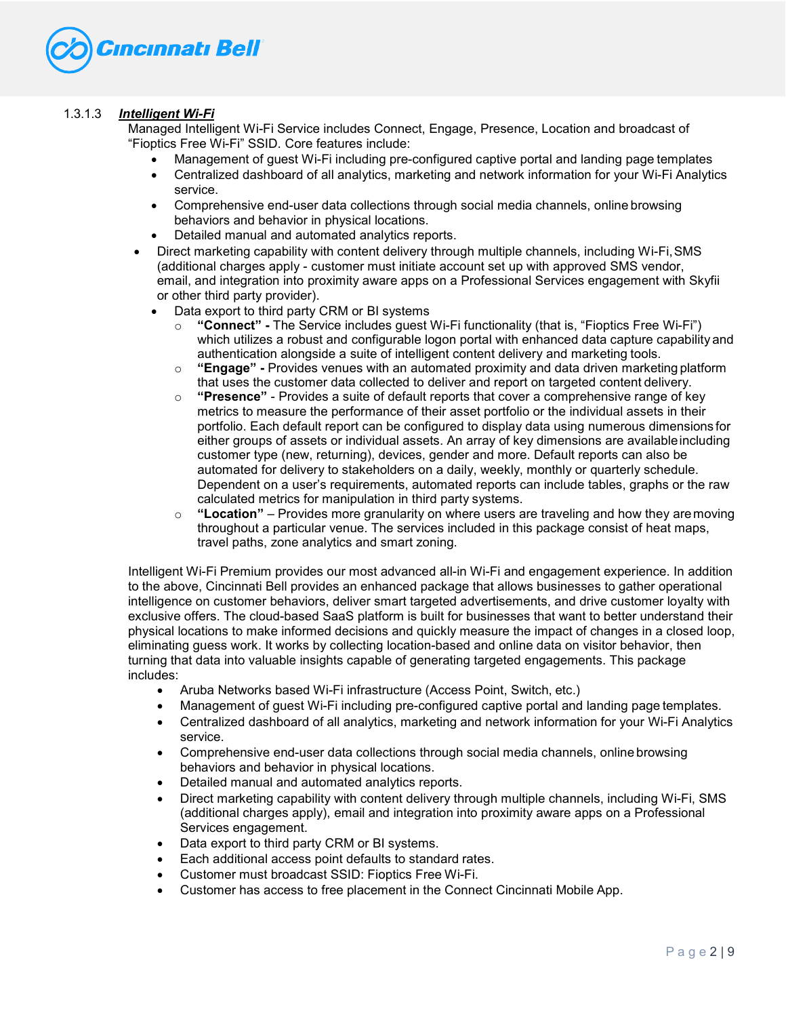

## 1.3.1.3 *Intelligent Wi-Fi*

Managed Intelligent Wi-Fi Service includes Connect, Engage, Presence, Location and broadcast of "Fioptics Free Wi-Fi" SSID. Core features include:

- Management of guest Wi-Fi including pre-configured captive portal and landing page templates
- Centralized dashboard of all analytics, marketing and network information for your Wi-Fi Analytics service.
- Comprehensive end-user data collections through social media channels, online browsing behaviors and behavior in physical locations.
- Detailed manual and automated analytics reports.
- Direct marketing capability with content delivery through multiple channels, including Wi-Fi,SMS (additional charges apply - customer must initiate account set up with approved SMS vendor, email, and integration into proximity aware apps on a Professional Services engagement with Skyfii or other third party provider).
	- Data export to third party CRM or BI systems
		- o **"Connect" -** The Service includes guest Wi-Fi functionality (that is, "Fioptics Free Wi-Fi") which utilizes a robust and configurable logon portal with enhanced data capture capability and authentication alongside a suite of intelligent content delivery and marketing tools.
		- o **"Engage" -** Provides venues with an automated proximity and data driven marketing platform that uses the customer data collected to deliver and report on targeted content delivery.
		- o **"Presence"**  Provides a suite of default reports that cover a comprehensive range of key metrics to measure the performance of their asset portfolio or the individual assets in their portfolio. Each default report can be configured to display data using numerous dimensions for either groups of assets or individual assets. An array of key dimensions are availableincluding customer type (new, returning), devices, gender and more. Default reports can also be automated for delivery to stakeholders on a daily, weekly, monthly or quarterly schedule. Dependent on a user's requirements, automated reports can include tables, graphs or the raw calculated metrics for manipulation in third party systems.
		- o **"Location"**  Provides more granularity on where users are traveling and how they aremoving throughout a particular venue. The services included in this package consist of heat maps, travel paths, zone analytics and smart zoning.

Intelligent Wi-Fi Premium provides our most advanced all-in Wi-Fi and engagement experience. In addition to the above, Cincinnati Bell provides an enhanced package that allows businesses to gather operational intelligence on customer behaviors, deliver smart targeted advertisements, and drive customer loyalty with exclusive offers. The cloud-based SaaS platform is built for businesses that want to better understand their physical locations to make informed decisions and quickly measure the impact of changes in a closed loop, eliminating guess work. It works by collecting location-based and online data on visitor behavior, then turning that data into valuable insights capable of generating targeted engagements. This package includes:

- Aruba Networks based Wi-Fi infrastructure (Access Point, Switch, etc.)
- Management of guest Wi-Fi including pre-configured captive portal and landing page templates.
- Centralized dashboard of all analytics, marketing and network information for your Wi-Fi Analytics service.
- Comprehensive end-user data collections through social media channels, online browsing behaviors and behavior in physical locations.
- Detailed manual and automated analytics reports.
- Direct marketing capability with content delivery through multiple channels, including Wi-Fi, SMS (additional charges apply), email and integration into proximity aware apps on a Professional Services engagement.
- Data export to third party CRM or BI systems.
- Each additional access point defaults to standard rates.
- Customer must broadcast SSID: Fioptics Free Wi-Fi.
- Customer has access to free placement in the Connect Cincinnati Mobile App.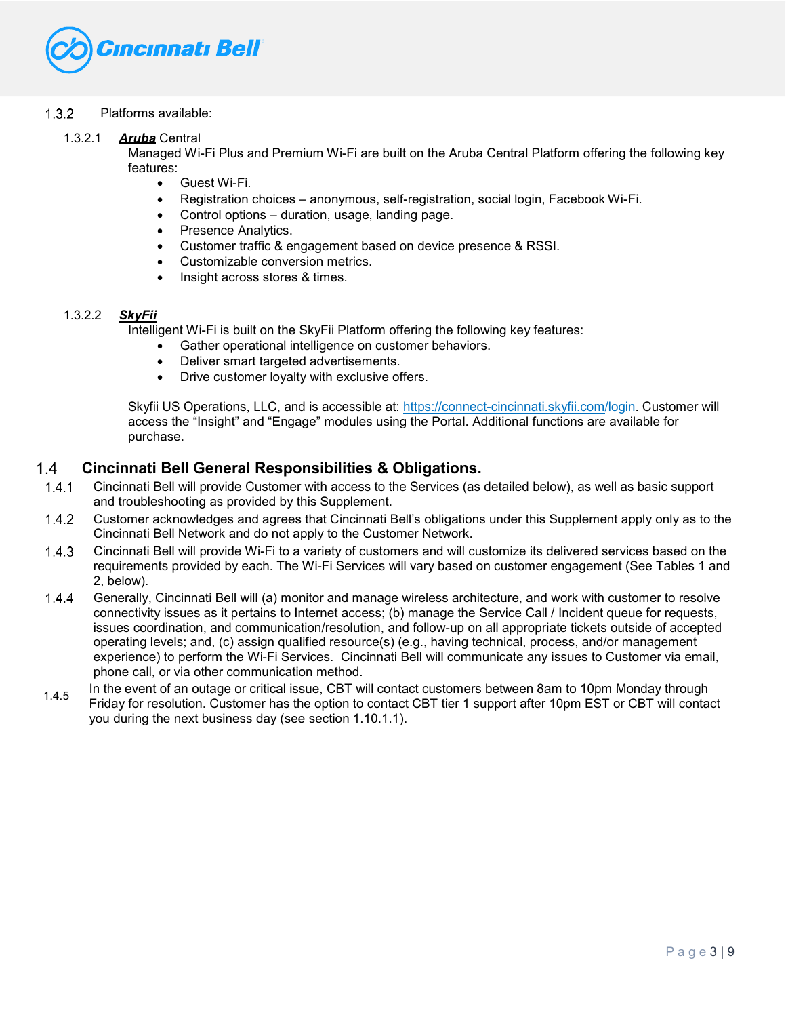

## Platforms available:

1.3.2.1 *Aruba* Central

Managed Wi-Fi Plus and Premium Wi-Fi are built on the Aruba Central Platform offering the following key features:

- Guest Wi-Fi.
- Registration choices anonymous, self-registration, social login, Facebook Wi-Fi.
- Control options duration, usage, landing page.
- Presence Analytics.
- Customer traffic & engagement based on device presence & RSSI.
- Customizable conversion metrics.
- Insight across stores & times.

## 1.3.2.2 *SkyFii*

Intelligent Wi-Fi is built on the SkyFii Platform offering the following key features:

- Gather operational intelligence on customer behaviors.
- Deliver smart targeted advertisements.
- Drive customer loyalty with exclusive offers.

Skyfii US Operations, LLC, and is accessible at:<https://connect-cincinnati.skyfii.com/>login. Customer will access the "Insight" and "Engage" modules using the Portal. Additional functions are available for purchase.

#### $1.4$ **Cincinnati Bell General Responsibilities & Obligations.**

- $1.4.1$ Cincinnati Bell will provide Customer with access to the Services (as detailed below), as well as basic support and troubleshooting as provided by this Supplement.
- $1.4.2$ Customer acknowledges and agrees that Cincinnati Bell's obligations under this Supplement apply only as to the Cincinnati Bell Network and do not apply to the Customer Network.
- Cincinnati Bell will provide Wi-Fi to a variety of customers and will customize its delivered services based on the requirements provided by each. The Wi-Fi Services will vary based on customer engagement (See Tables 1 and 2, below).
- $1.4.4$ Generally, Cincinnati Bell will (a) monitor and manage wireless architecture, and work with customer to resolve connectivity issues as it pertains to Internet access; (b) manage the Service Call / Incident queue for requests, issues coordination, and communication/resolution, and follow-up on all appropriate tickets outside of accepted operating levels; and, (c) assign qualified resource(s) (e.g., having technical, process, and/or management experience) to perform the Wi-Fi Services. Cincinnati Bell will communicate any issues to Customer via email, phone call, or via other communication method.
- In the event of an outage or critical issue, CBT will contact customers between 8am to 10pm Monday through Friday for resolution. Customer has the option to contact CBT tier 1 support after 10pm EST or CBT will contact you during the next business day (see section 1.10.1.1). 1.4.5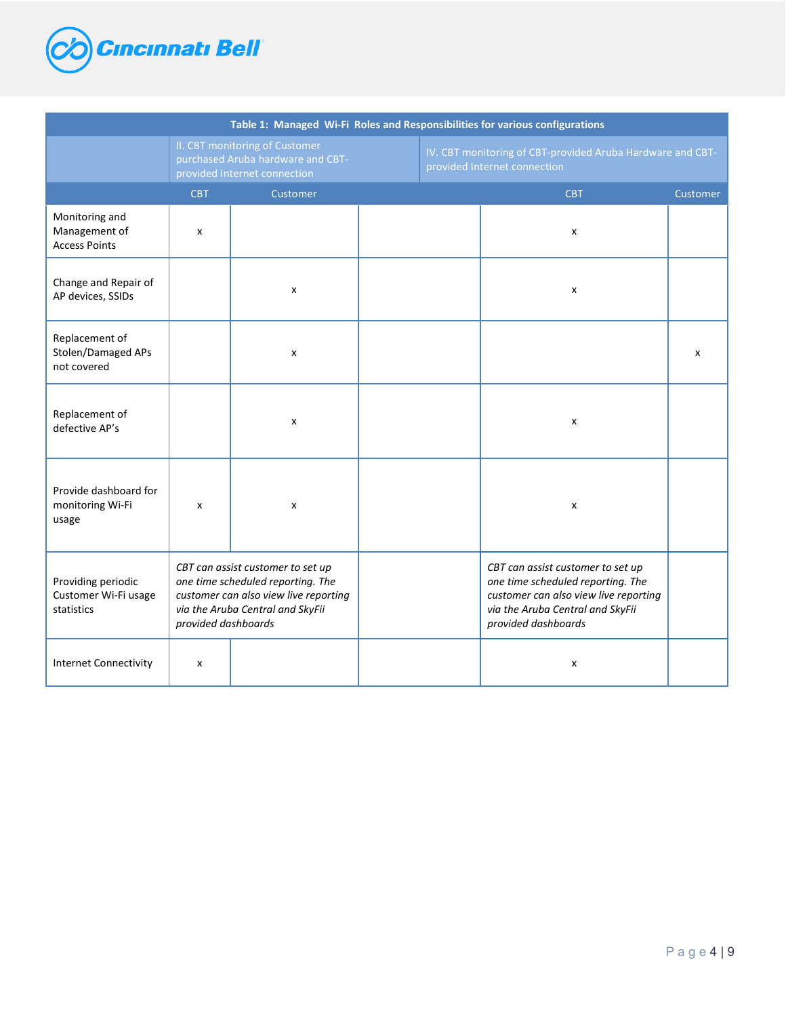

| Table 1: Managed Wi-Fi Roles and Responsibilities for various configurations |                                                                                                                                                                            |                                                                                                     |  |                                                                                                                                                                            |          |  |  |  |
|------------------------------------------------------------------------------|----------------------------------------------------------------------------------------------------------------------------------------------------------------------------|-----------------------------------------------------------------------------------------------------|--|----------------------------------------------------------------------------------------------------------------------------------------------------------------------------|----------|--|--|--|
|                                                                              |                                                                                                                                                                            | II. CBT monitoring of Customer<br>purchased Aruba hardware and CBT-<br>provided Internet connection |  | IV. CBT monitoring of CBT-provided Aruba Hardware and CBT-<br>provided Internet connection                                                                                 |          |  |  |  |
|                                                                              | <b>CBT</b>                                                                                                                                                                 | Customer                                                                                            |  | <b>CBT</b>                                                                                                                                                                 | Customer |  |  |  |
| Monitoring and<br>Management of<br><b>Access Points</b>                      | x                                                                                                                                                                          |                                                                                                     |  | X                                                                                                                                                                          |          |  |  |  |
| Change and Repair of<br>AP devices, SSIDs                                    |                                                                                                                                                                            | $\pmb{\times}$                                                                                      |  | X                                                                                                                                                                          |          |  |  |  |
| Replacement of<br>Stolen/Damaged APs<br>not covered                          |                                                                                                                                                                            | X                                                                                                   |  |                                                                                                                                                                            | x        |  |  |  |
| Replacement of<br>defective AP's                                             |                                                                                                                                                                            | X                                                                                                   |  | х                                                                                                                                                                          |          |  |  |  |
| Provide dashboard for<br>monitoring Wi-Fi<br>usage                           | x                                                                                                                                                                          | X                                                                                                   |  | x                                                                                                                                                                          |          |  |  |  |
| Providing periodic<br>Customer Wi-Fi usage<br>statistics                     | CBT can assist customer to set up<br>one time scheduled reporting. The<br>customer can also view live reporting<br>via the Aruba Central and SkyFii<br>provided dashboards |                                                                                                     |  | CBT can assist customer to set up<br>one time scheduled reporting. The<br>customer can also view live reporting<br>via the Aruba Central and SkyFii<br>provided dashboards |          |  |  |  |
| <b>Internet Connectivity</b>                                                 | x                                                                                                                                                                          |                                                                                                     |  | x                                                                                                                                                                          |          |  |  |  |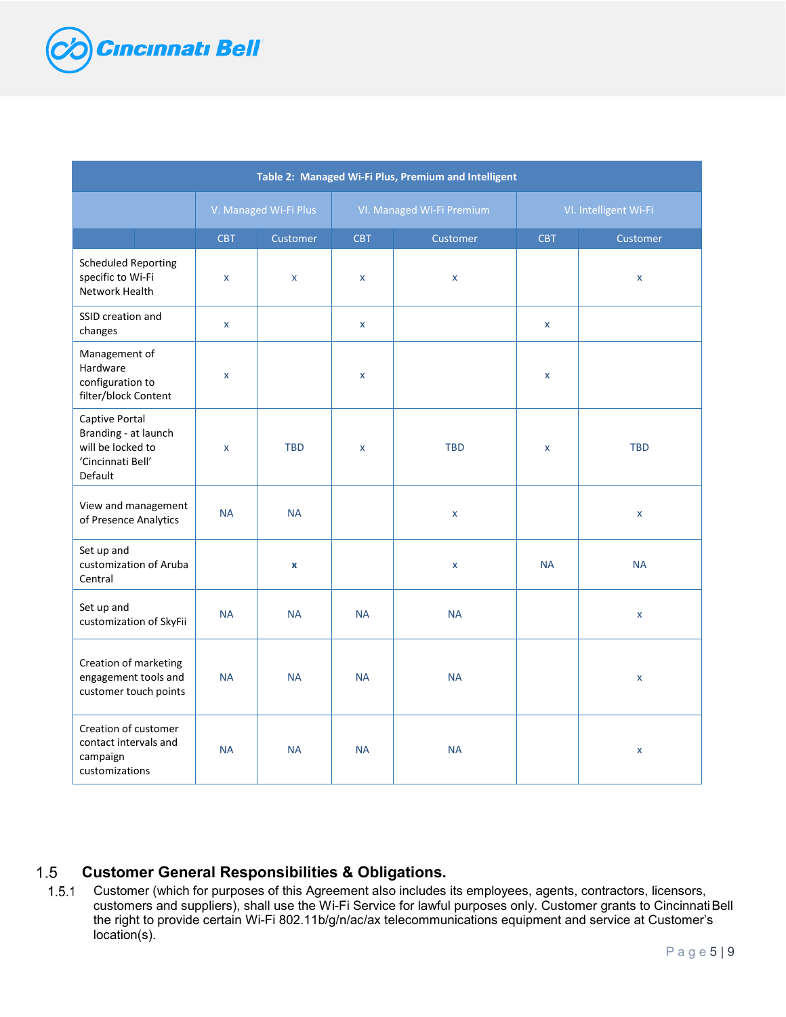

| Table 2: Managed Wi-Fi Plus, Premium and Intelligent                                        |                           |                       |                    |                           |                       |                 |  |  |
|---------------------------------------------------------------------------------------------|---------------------------|-----------------------|--------------------|---------------------------|-----------------------|-----------------|--|--|
|                                                                                             |                           | V. Managed Wi-Fi Plus |                    | VI. Managed Wi-Fi Premium | VI. Intelligent Wi-Fi |                 |  |  |
|                                                                                             | CBT                       | Customer              | <b>CBT</b>         | <b>Customer</b>           | <b>CBT</b>            | <b>Customer</b> |  |  |
| <b>Scheduled Reporting</b><br>specific to Wi-Fi<br>Network Health                           | $\pmb{\times}$            | $\pmb{\chi}$          | $\pmb{\times}$     | $\pmb{\mathsf{x}}$        |                       | X               |  |  |
| SSID creation and<br>changes                                                                | $\mathsf{x}$              |                       | $\pmb{\mathsf{x}}$ |                           | $\mathsf{x}$          |                 |  |  |
| Management of<br>Hardware<br>configuration to<br>filter/block Content                       | $\pmb{\times}$            |                       | $\pmb{\mathsf{x}}$ |                           | $\pmb{\mathsf{x}}$    |                 |  |  |
| Captive Portal<br>Branding - at launch<br>will be locked to<br>'Cincinnati Bell'<br>Default | $\boldsymbol{\mathsf{x}}$ | <b>TBD</b>            | X                  | <b>TBD</b>                | $\mathsf{x}$          | <b>TBD</b>      |  |  |
| View and management<br>of Presence Analytics                                                | <b>NA</b>                 | <b>NA</b>             |                    | $\pmb{\mathsf{x}}$        |                       | X               |  |  |
| Set up and<br>customization of Aruba<br>Central                                             |                           | $\pmb{\chi}$          |                    | $\pmb{\mathsf{x}}$        | <b>NA</b>             | <b>NA</b>       |  |  |
| Set up and<br>customization of SkyFii                                                       | <b>NA</b>                 | <b>NA</b>             | <b>NA</b>          | <b>NA</b>                 |                       | X               |  |  |
| Creation of marketing<br>engagement tools and<br>customer touch points                      | <b>NA</b>                 | <b>NA</b>             | <b>NA</b>          | <b>NA</b>                 |                       | X               |  |  |
| Creation of customer<br>contact intervals and<br>campaign<br>customizations                 | <b>NA</b>                 | <b>NA</b>             | <b>NA</b>          | <b>NA</b>                 |                       | X               |  |  |

#### $1.5$ **Customer General Responsibilities & Obligations.**

 Customer (which for purposes of this Agreement also includes its employees, agents, contractors, licensors, customers and suppliers), shall use the Wi-Fi Service for lawful purposes only. Customer grants to CincinnatiBell the right to provide certain Wi-Fi 802.11b/g/n/ac/ax telecommunications equipment and service at Customer's location(s).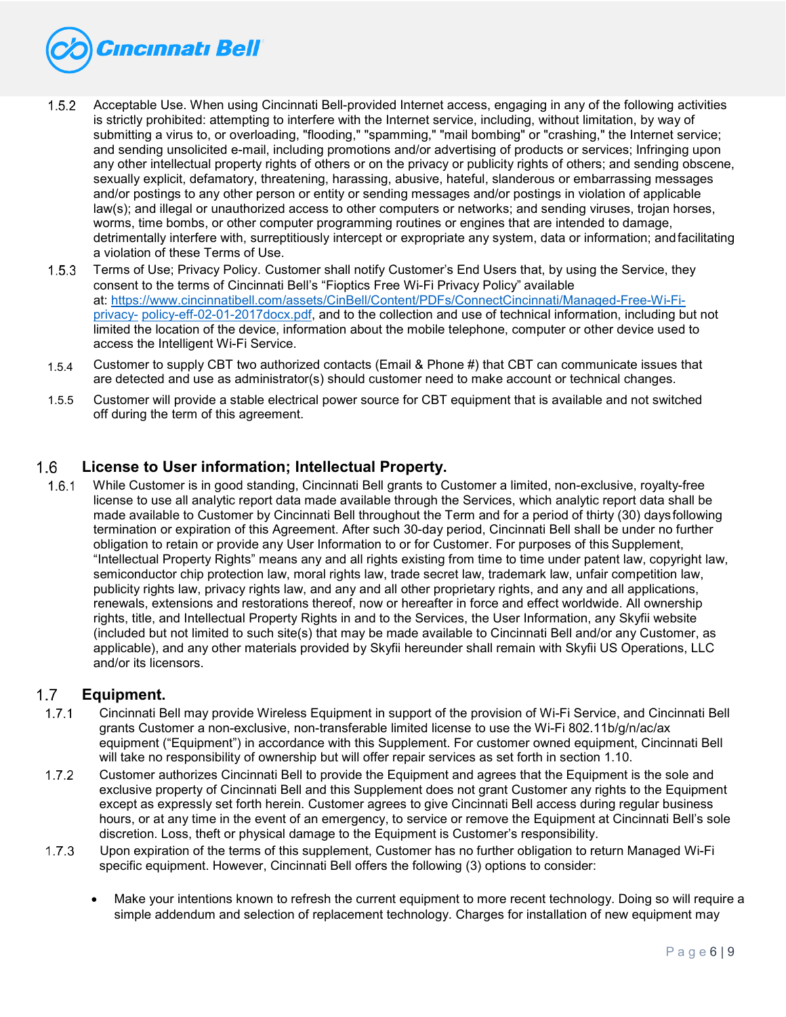

- 1.5.2 Acceptable Use. When using Cincinnati Bell-provided Internet access, engaging in any of the following activities is strictly prohibited: attempting to interfere with the Internet service, including, without limitation, by way of submitting a virus to, or overloading, "flooding," "spamming," "mail bombing" or "crashing," the Internet service; and sending unsolicited e-mail, including promotions and/or advertising of products or services; Infringing upon any other intellectual property rights of others or on the privacy or publicity rights of others; and sending obscene, sexually explicit, defamatory, threatening, harassing, abusive, hateful, slanderous or embarrassing messages and/or postings to any other person or entity or sending messages and/or postings in violation of applicable law(s); and illegal or unauthorized access to other computers or networks; and sending viruses, trojan horses, worms, time bombs, or other computer programming routines or engines that are intended to damage, detrimentally interfere with, surreptitiously intercept or expropriate any system, data or information; andfacilitating a violation of these Terms of Use.
- 1.5.3 Terms of Use; Privacy Policy. Customer shall notify Customer's End Users that, by using the Service, they consent to the terms of Cincinnati Bell's "Fioptics Free Wi-Fi Privacy Policy" available at: [https://www.cincinnatibell.com/assets/CinBell/Content/PDFs/ConnectCincinnati/Managed-Free-Wi-Fi](https://www.cincinnatibell.com/assets/CinBell/Content/PDFs/ConnectCincinnati/Fioptics-Free-Wi-Fi-privacy-policy-eff-02-01-2017docx.pdf)[privacy-](https://www.cincinnatibell.com/assets/CinBell/Content/PDFs/ConnectCincinnati/Fioptics-Free-Wi-Fi-privacy-policy-eff-02-01-2017docx.pdf) [policy-eff-02-01-2017docx.pdf, a](https://www.cincinnatibell.com/assets/CinBell/Content/PDFs/ConnectCincinnati/Fioptics-Free-Wi-Fi-privacy-policy-eff-02-01-2017docx.pdf)nd to the collection and use of technical information, including but not limited the location of the device, information about the mobile telephone, computer or other device used to access the Intelligent Wi-Fi Service.
- Customer to supply CBT two authorized contacts (Email & Phone #) that CBT can communicate issues that are detected and use as administrator(s) should customer need to make account or technical changes. 1.5.4
- Customer will provide a stable electrical power source for CBT equipment that is available and not switched off during the term of this agreement. 1.5.5

#### 1.6 **License to User information; Intellectual Property.**

 While Customer is in good standing, Cincinnati Bell grants to Customer a limited, non-exclusive, royalty-free license to use all analytic report data made available through the Services, which analytic report data shall be made available to Customer by Cincinnati Bell throughout the Term and for a period of thirty (30) daysfollowing termination or expiration of this Agreement. After such 30-day period, Cincinnati Bell shall be under no further obligation to retain or provide any User Information to or for Customer. For purposes of this Supplement, "Intellectual Property Rights" means any and all rights existing from time to time under patent law, copyright law, semiconductor chip protection law, moral rights law, trade secret law, trademark law, unfair competition law, publicity rights law, privacy rights law, and any and all other proprietary rights, and any and all applications, renewals, extensions and restorations thereof, now or hereafter in force and effect worldwide. All ownership rights, title, and Intellectual Property Rights in and to the Services, the User Information, any Skyfii website (included but not limited to such site(s) that may be made available to Cincinnati Bell and/or any Customer, as applicable), and any other materials provided by Skyfii hereunder shall remain with Skyfii US Operations, LLC and/or its licensors.

#### $1.7$ **Equipment.**

- $1.7.1$ Cincinnati Bell may provide Wireless Equipment in support of the provision of Wi-Fi Service, and Cincinnati Bell grants Customer a non-exclusive, non-transferable limited license to use the Wi-Fi 802.11b/g/n/ac/ax equipment ("Equipment") in accordance with this Supplement. For customer owned equipment, Cincinnati Bell will take no responsibility of ownership but will offer repair services as set forth in section 1.10.
- Customer authorizes Cincinnati Bell to provide the Equipment and agrees that the Equipment is the sole and  $1.7.2$ exclusive property of Cincinnati Bell and this Supplement does not grant Customer any rights to the Equipment except as expressly set forth herein. Customer agrees to give Cincinnati Bell access during regular business hours, or at any time in the event of an emergency, to service or remove the Equipment at Cincinnati Bell's sole discretion. Loss, theft or physical damage to the Equipment is Customer's responsibility.
- Upon expiration of the terms of this supplement, Customer has no further obligation to return Managed Wi-Fi specific equipment. However, Cincinnati Bell offers the following (3) options to consider:
	- Make your intentions known to refresh the current equipment to more recent technology. Doing so will require a simple addendum and selection of replacement technology. Charges for installation of new equipment may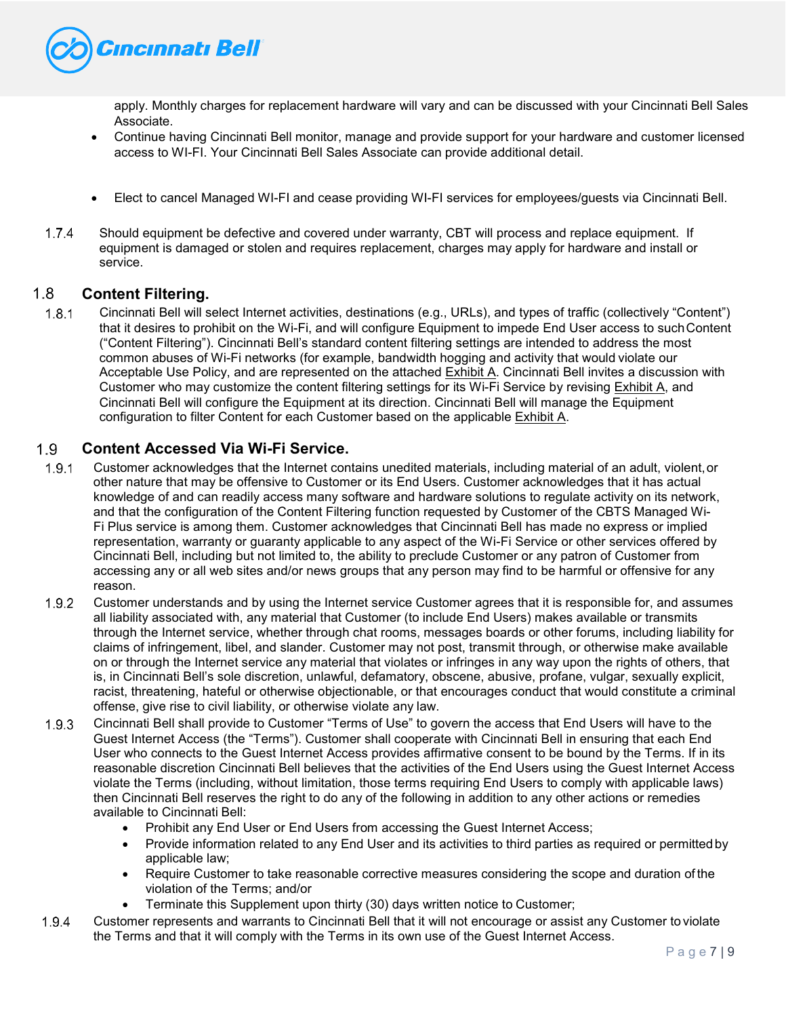

apply. Monthly charges for replacement hardware will vary and can be discussed with your Cincinnati Bell Sales Associate.

- Continue having Cincinnati Bell monitor, manage and provide support for your hardware and customer licensed access to WI-FI. Your Cincinnati Bell Sales Associate can provide additional detail.
- Elect to cancel Managed WI-FI and cease providing WI-FI services for employees/guests via Cincinnati Bell.
- $1.7.4$ Should equipment be defective and covered under warranty, CBT will process and replace equipment. If equipment is damaged or stolen and requires replacement, charges may apply for hardware and install or service.

#### $1.8$ **Content Filtering.**

 Cincinnati Bell will select Internet activities, destinations (e.g., URLs), and types of traffic (collectively "Content") that it desires to prohibit on the Wi-Fi, and will configure Equipment to impede End User access to suchContent ("Content Filtering"). Cincinnati Bell's standard content filtering settings are intended to address the most common abuses of Wi-Fi networks (for example, bandwidth hogging and activity that would violate our Acceptable Use Policy, and are represented on the attached Exhibit A. Cincinnati Bell invites a discussion with Customer who may customize the content filtering settings for its Wi-Fi Service by revising Exhibit A, and Cincinnati Bell will configure the Equipment at its direction. Cincinnati Bell will manage the Equipment configuration to filter Content for each Customer based on the applicable Exhibit A.

#### $1.9$ **Content Accessed Via Wi-Fi Service.**

- Customer acknowledges that the Internet contains unedited materials, including material of an adult, violent,or other nature that may be offensive to Customer or its End Users. Customer acknowledges that it has actual knowledge of and can readily access many software and hardware solutions to regulate activity on its network, and that the configuration of the Content Filtering function requested by Customer of the CBTS Managed Wi-Fi Plus service is among them. Customer acknowledges that Cincinnati Bell has made no express or implied representation, warranty or guaranty applicable to any aspect of the Wi-Fi Service or other services offered by Cincinnati Bell, including but not limited to, the ability to preclude Customer or any patron of Customer from accessing any or all web sites and/or news groups that any person may find to be harmful or offensive for any reason.
- Customer understands and by using the Internet service Customer agrees that it is responsible for, and assumes all liability associated with, any material that Customer (to include End Users) makes available or transmits through the Internet service, whether through chat rooms, messages boards or other forums, including liability for claims of infringement, libel, and slander. Customer may not post, transmit through, or otherwise make available on or through the Internet service any material that violates or infringes in any way upon the rights of others, that is, in Cincinnati Bell's sole discretion, unlawful, defamatory, obscene, abusive, profane, vulgar, sexually explicit, racist, threatening, hateful or otherwise objectionable, or that encourages conduct that would constitute a criminal offense, give rise to civil liability, or otherwise violate any law.
- Cincinnati Bell shall provide to Customer "Terms of Use" to govern the access that End Users will have to the Guest Internet Access (the "Terms"). Customer shall cooperate with Cincinnati Bell in ensuring that each End User who connects to the Guest Internet Access provides affirmative consent to be bound by the Terms. If in its reasonable discretion Cincinnati Bell believes that the activities of the End Users using the Guest Internet Access violate the Terms (including, without limitation, those terms requiring End Users to comply with applicable laws) then Cincinnati Bell reserves the right to do any of the following in addition to any other actions or remedies available to Cincinnati Bell:
	- Prohibit any End User or End Users from accessing the Guest Internet Access;
	- Provide information related to any End User and its activities to third parties as required or permittedby applicable law;
	- Require Customer to take reasonable corrective measures considering the scope and duration of the violation of the Terms; and/or
	- Terminate this Supplement upon thirty (30) days written notice to Customer;
- Customer represents and warrants to Cincinnati Bell that it will not encourage or assist any Customer to violate the Terms and that it will comply with the Terms in its own use of the Guest Internet Access.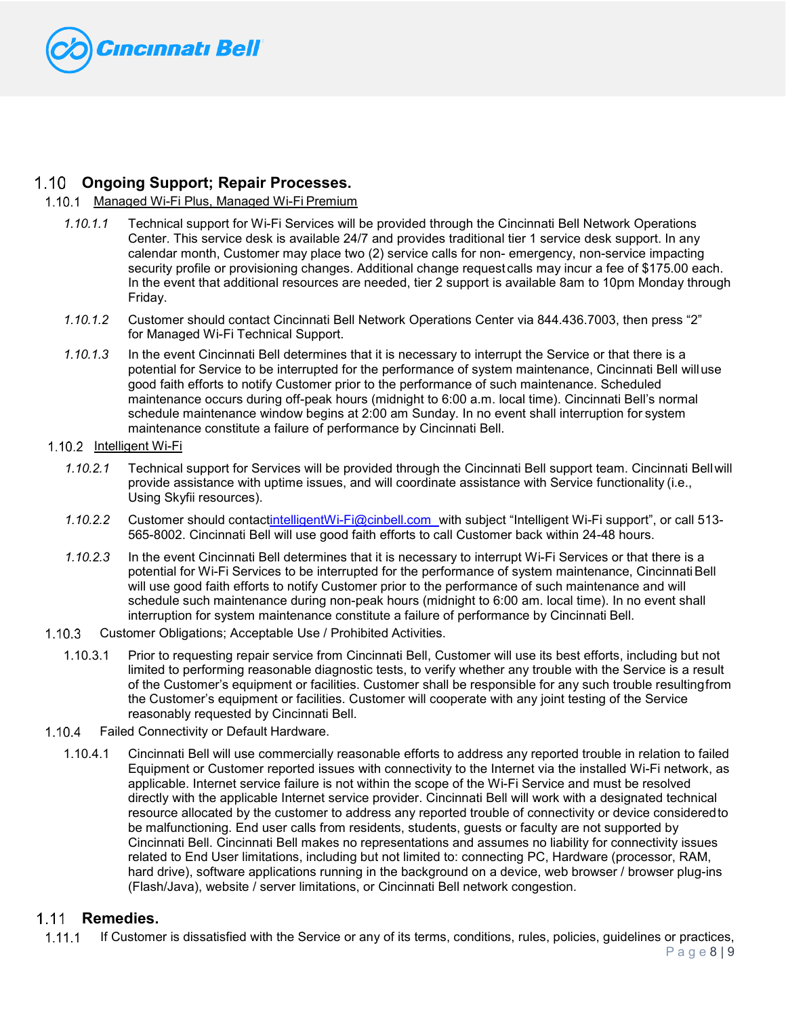

# **Ongoing Support; Repair Processes.**

## 1.10.1 Managed Wi-Fi Plus, Managed Wi-Fi Premium

- *1.10.1.1* Technical support for Wi-Fi Services will be provided through the Cincinnati Bell Network Operations Center. This service desk is available 24/7 and provides traditional tier 1 service desk support. In any calendar month, Customer may place two (2) service calls for non- emergency, non-service impacting security profile or provisioning changes. Additional change request calls may incur a fee of \$175.00 each. In the event that additional resources are needed, tier 2 support is available 8am to 10pm Monday through Friday.
- *1.10.1.2* Customer should contact Cincinnati Bell Network Operations Center via 844.436.7003, then press "2" for Managed Wi-Fi Technical Support.
- *1.10.1.3* In the event Cincinnati Bell determines that it is necessary to interrupt the Service or that there is a potential for Service to be interrupted for the performance of system maintenance, Cincinnati Bell willuse good faith efforts to notify Customer prior to the performance of such maintenance. Scheduled maintenance occurs during off-peak hours (midnight to 6:00 a.m. local time). Cincinnati Bell's normal schedule maintenance window begins at 2:00 am Sunday. In no event shall interruption for system maintenance constitute a failure of performance by Cincinnati Bell.

## 1.10.2 Intelligent Wi-Fi

- *1.10.2.1* Technical support for Services will be provided through the Cincinnati Bell support team. Cincinnati Bellwill provide assistance with uptime issues, and will coordinate assistance with Service functionality (i.e., Using Skyfii resources).
- *1.10.2.2* Customer should contac[tintelligentWi-Fi@cinbell.com](mailto:intelligentwifi@cinbell.com) with subject "Intelligent Wi-Fi support", or call 513- 565-8002. Cincinnati Bell will use good faith efforts to call Customer back within 24-48 hours.
- *1.10.2.3* In the event Cincinnati Bell determines that it is necessary to interrupt Wi-Fi Services or that there is a potential for Wi-Fi Services to be interrupted for the performance of system maintenance, Cincinnati Bell will use good faith efforts to notify Customer prior to the performance of such maintenance and will schedule such maintenance during non-peak hours (midnight to 6:00 am. local time). In no event shall interruption for system maintenance constitute a failure of performance by Cincinnati Bell.
- 1.10.3 Customer Obligations; Acceptable Use / Prohibited Activities.
	- 1.10.3.1 Prior to requesting repair service from Cincinnati Bell, Customer will use its best efforts, including but not limited to performing reasonable diagnostic tests, to verify whether any trouble with the Service is a result of the Customer's equipment or facilities. Customer shall be responsible for any such trouble resultingfrom the Customer's equipment or facilities. Customer will cooperate with any joint testing of the Service reasonably requested by Cincinnati Bell.
- 1.10.4 Failed Connectivity or Default Hardware.
	- 1.10.4.1 Cincinnati Bell will use commercially reasonable efforts to address any reported trouble in relation to failed Equipment or Customer reported issues with connectivity to the Internet via the installed Wi-Fi network, as applicable. Internet service failure is not within the scope of the Wi-Fi Service and must be resolved directly with the applicable Internet service provider. Cincinnati Bell will work with a designated technical resource allocated by the customer to address any reported trouble of connectivity or device consideredto be malfunctioning. End user calls from residents, students, guests or faculty are not supported by Cincinnati Bell. Cincinnati Bell makes no representations and assumes no liability for connectivity issues related to End User limitations, including but not limited to: connecting PC, Hardware (processor, RAM, hard drive), software applications running in the background on a device, web browser / browser plug-ins (Flash/Java), website / server limitations, or Cincinnati Bell network congestion.

#### $1.11$ **Remedies.**

 $1.11.1$ If Customer is dissatisfied with the Service or any of its terms, conditions, rules, policies, guidelines or practices,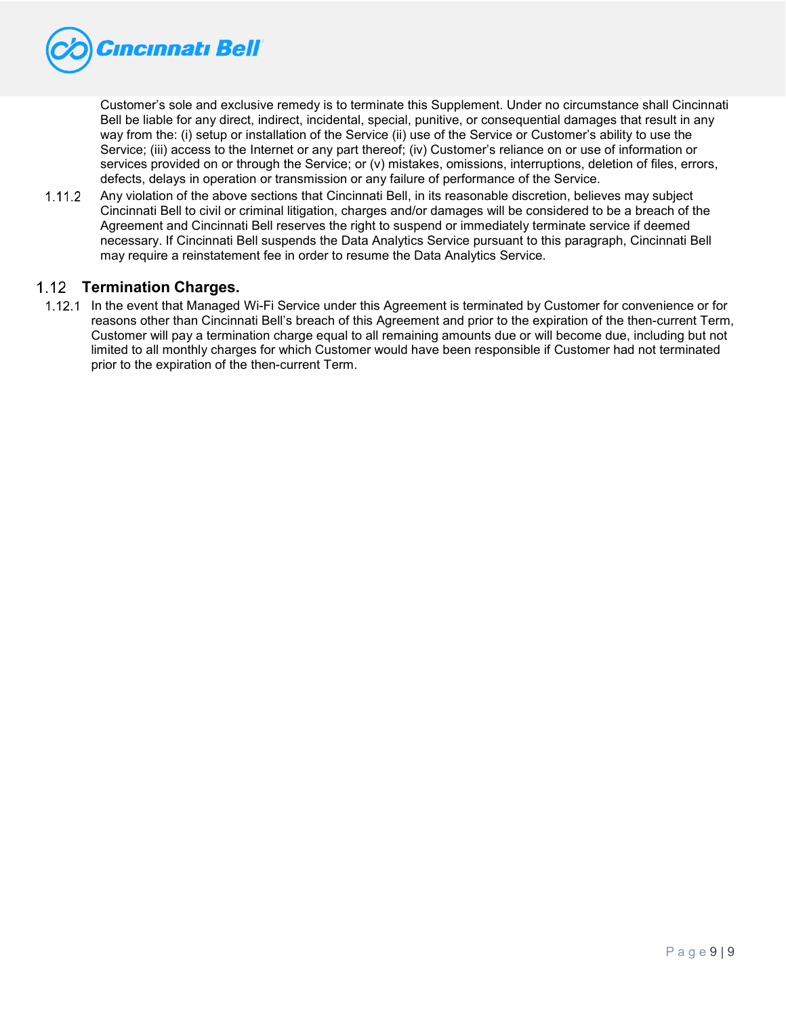

Customer's sole and exclusive remedy is to terminate this Supplement. Under no circumstance shall Cincinnati Bell be liable for any direct, indirect, incidental, special, punitive, or consequential damages that result in any way from the: (i) setup or installation of the Service (ii) use of the Service or Customer's ability to use the Service; (iii) access to the Internet or any part thereof; (iv) Customer's reliance on or use of information or services provided on or through the Service; or (v) mistakes, omissions, interruptions, deletion of files, errors, defects, delays in operation or transmission or any failure of performance of the Service.

 $1.11.2$ Any violation of the above sections that Cincinnati Bell, in its reasonable discretion, believes may subject Cincinnati Bell to civil or criminal litigation, charges and/or damages will be considered to be a breach of the Agreement and Cincinnati Bell reserves the right to suspend or immediately terminate service if deemed necessary. If Cincinnati Bell suspends the Data Analytics Service pursuant to this paragraph, Cincinnati Bell may require a reinstatement fee in order to resume the Data Analytics Service.

## **Termination Charges.**

1.12.1 In the event that Managed Wi-Fi Service under this Agreement is terminated by Customer for convenience or for reasons other than Cincinnati Bell's breach of this Agreement and prior to the expiration of the then-current Term, Customer will pay a termination charge equal to all remaining amounts due or will become due, including but not limited to all monthly charges for which Customer would have been responsible if Customer had not terminated prior to the expiration of the then-current Term.